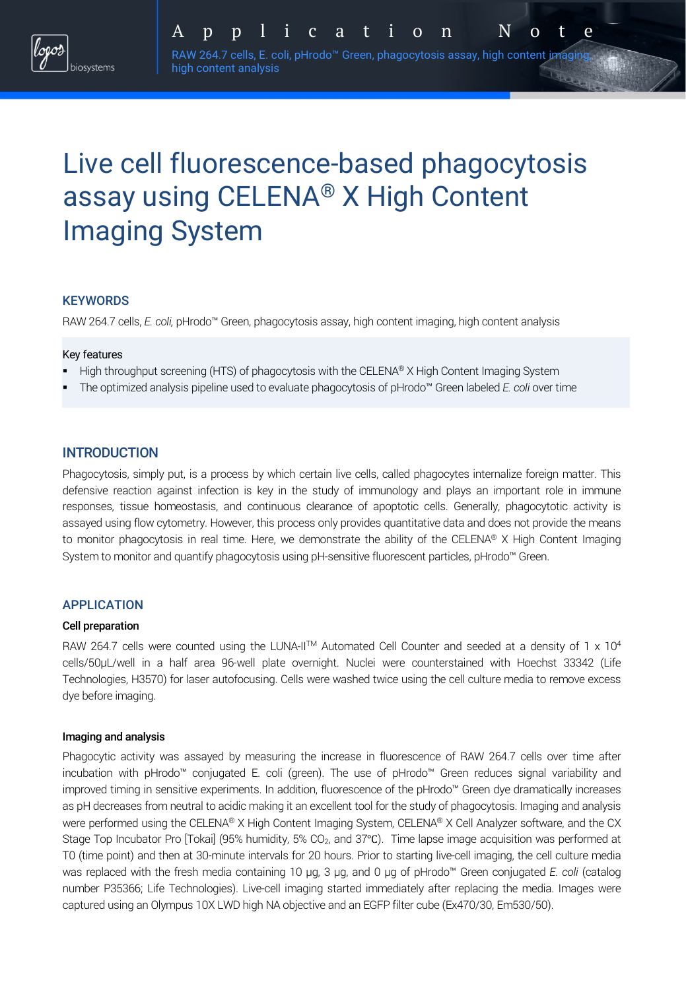RAW 264.7 cells, E. coli, pHrodo™ Green, phagocytosis assay, high content imaging high content analysis

# Live cell fluorescence-based phagocytosis assay using CELENA® X High Content Imaging System

## **KEYWORDS**

RAW 264.7 cells, *E. coli,* pHrodo™ Green, phagocytosis assay, high content imaging, high content analysis

### Key features

- High throughput screening (HTS) of phagocytosis with the CELENA® X High Content Imaging System
- § The optimized analysis pipeline used to evaluate phagocytosis of pHrodo™ Green labeled *E. coli* over time

## **INTRODUCTION**

Phagocytosis, simply put, is a process by which certain live cells, called phagocytes internalize foreign matter. This defensive reaction against infection is key in the study of immunology and plays an important role in immune responses, tissue homeostasis, and continuous clearance of apoptotic cells. Generally, phagocytotic activity is assayed using flow cytometry. However, this process only provides quantitative data and does not provide the means to monitor phagocytosis in real time. Here, we demonstrate the ability of the CELENA® X High Content Imaging System to monitor and quantify phagocytosis using pH-sensitive fluorescent particles, pHrodo™ Green.

### APPLICATION

### Cell preparation

RAW 264.7 cells were counted using the LUNA-II™ Automated Cell Counter and seeded at a density of 1 x 10<sup>4</sup> cells/50µL/well in a half area 96-well plate overnight. Nuclei were counterstained with Hoechst 33342 (Life Technologies, H3570) for laser autofocusing. Cells were washed twice using the cell culture media to remove excess dye before imaging.

### Imaging and analysis

Phagocytic activity was assayed by measuring the increase in fluorescence of RAW 264.7 cells over time after incubation with pHrodo™ conjugated E. coli (green). The use of pHrodo™ Green reduces signal variability and improved timing in sensitive experiments. In addition, fluorescence of the pHrodo™ Green dye dramatically increases as pH decreases from neutral to acidic making it an excellent tool for the study of phagocytosis. Imaging and analysis were performed using the CELENA® X High Content Imaging System, CELENA® X Cell Analyzer software, and the CX Stage Top Incubator Pro [Tokai] (95% humidity, 5% CO<sub>2</sub>, and 37℃). Time lapse image acquisition was performed at T0 (time point) and then at 30-minute intervals for 20 hours. Prior to starting live-cell imaging, the cell culture media was replaced with the fresh media containing 10 µg, 3 µg, and 0 µg of pHrodo™ Green conjugated *E. coli* (catalog number P35366; Life Technologies). Live-cell imaging started immediately after replacing the media. Images were captured using an Olympus 10X LWD high NA objective and an EGFP filter cube (Ex470/30, Em530/50).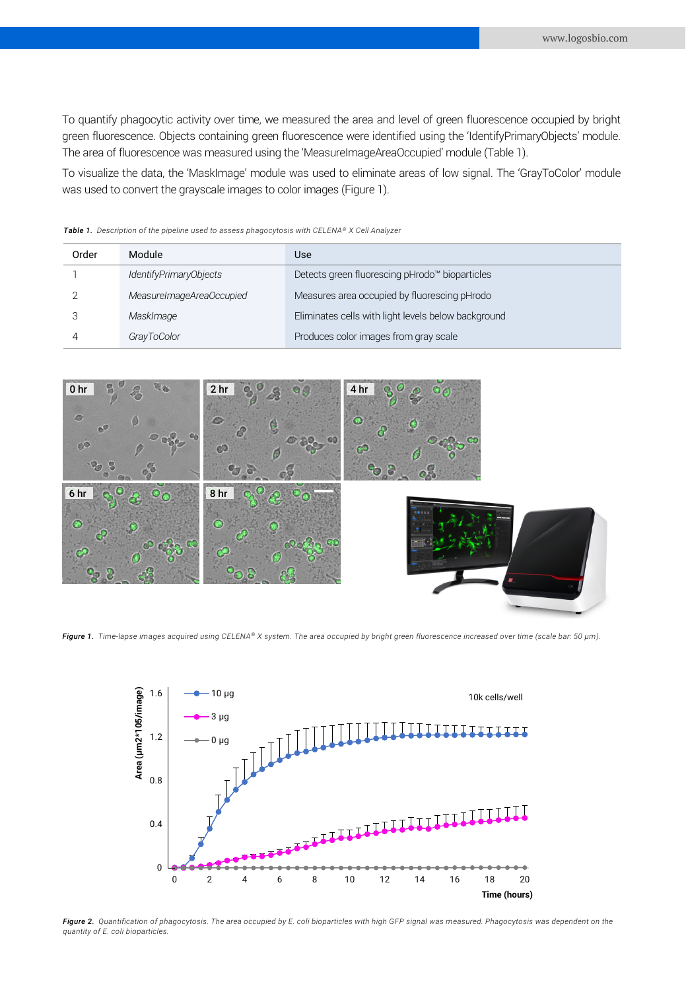To quantify phagocytic activity over time, we measured the area and level of green fluorescence occupied by bright green fluorescence. Objects containing green fluorescence were identified using the 'IdentifyPrimaryObjects' module. The area of fluorescence was measured using the 'MeasureImageAreaOccupied' module (Table 1).

To visualize the data, the 'MaskImage' module was used to eliminate areas of low signal. The 'GrayToColor' module was used to convert the grayscale images to color images (Figure 1).

| Order | Module                   | Use                                                 |
|-------|--------------------------|-----------------------------------------------------|
|       | IdentifyPrimaryObjects   | Detects green fluorescing pHrodo™ bioparticles      |
|       | MeasureImageAreaOccupied | Measures area occupied by fluorescing pHrodo        |
|       | MaskImage                | Eliminates cells with light levels below background |
|       | GrayToColor              | Produces color images from gray scale               |

*Table 1. Description of the pipeline used to assess phagocytosis with CELENA® X Cell Analyzer*



*Figure 1. Time-lapse images acquired using CELENA® X system. The area occupied by bright green fluorescence increased over time (scale bar: 50 µm).*



*Figure 2. Quantification of phagocytosis. The area occupied by E. coli bioparticles with high GFP signal was measured. Phagocytosis was dependent on the quantity of E. coli bioparticles.*